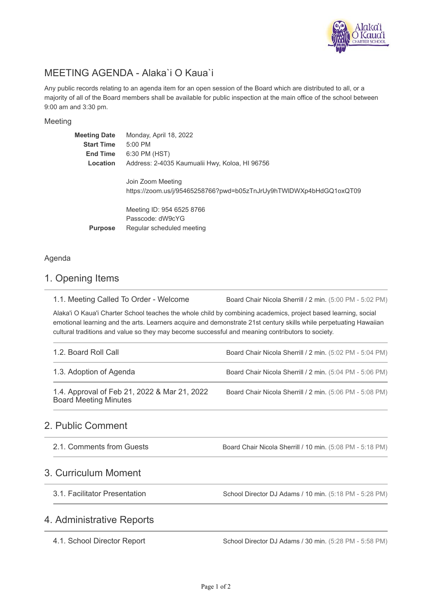

# MEETING AGENDA - Alaka`i O Kaua`i

Any public records relating to an agenda item for an open session of the Board which are distributed to all, or a majority of all of the Board members shall be available for public inspection at the main office of the school between 9:00 am and 3:30 pm.

#### Meeting

| <b>Meeting Date</b><br><b>Start Time</b><br><b>End Time</b><br>Location | Monday, April 18, 2022<br>$5:00$ PM<br>6:30 PM (HST)<br>Address: 2-4035 Kaumualii Hwy, Koloa, HI 96756 |
|-------------------------------------------------------------------------|--------------------------------------------------------------------------------------------------------|
|                                                                         | Join Zoom Meeting<br>https://zoom.us/j/95465258766?pwd=b05zTnJrUy9hTWIDWXp4bHdGQ1oxQT09                |
| <b>Purpose</b>                                                          | Meeting ID: 954 6525 8766<br>Passcode: dW9cYG<br>Regular scheduled meeting                             |

#### Agenda

#### 1. Opening Items

Board Chair Nicola Sherrill / 2 min. (5:00 PM - 5:02 PM) 1.1. Meeting Called To Order - Welcome

Alaka'i O Kaua'i Charter School teaches the whole child by combining academics, project based learning, social emotional learning and the arts. Learners acquire and demonstrate 21st century skills while perpetuating Hawaiian cultural traditions and value so they may become successful and meaning contributors to society.

| 1.2. Board Roll Call                                                         | Board Chair Nicola Sherrill / 2 min. (5:02 PM - 5:04 PM) |
|------------------------------------------------------------------------------|----------------------------------------------------------|
| 1.3. Adoption of Agenda                                                      | Board Chair Nicola Sherrill / 2 min. (5:04 PM - 5:06 PM) |
| 1.4. Approval of Feb 21, 2022 & Mar 21, 2022<br><b>Board Meeting Minutes</b> | Board Chair Nicola Sherrill / 2 min. (5:06 PM - 5:08 PM) |

### 2. Public Comment

| 2.1. Comments from Guests | Board Chair Nicola Sherrill / 10 min. (5:08 PM - 5:18 PM) |  |
|---------------------------|-----------------------------------------------------------|--|
|---------------------------|-----------------------------------------------------------|--|

#### 3. Curriculum Moment

3.1. Facilitator Presentation

School Director DJ Adams / 10 min. (5:18 PM - 5:28 PM)

#### 4. Administrative Reports

4.1. School Director Report

School Director DJ Adams / 30 min. (5:28 PM - 5:58 PM)